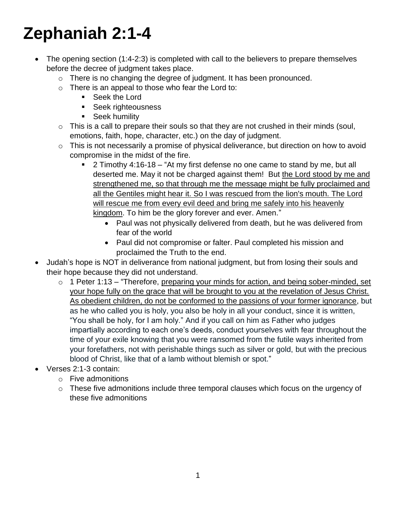## **Zephaniah 2:1-4**

- The opening section (1:4-2:3) is completed with call to the believers to prepare themselves before the decree of judgment takes place.
	- o There is no changing the degree of judgment. It has been pronounced.
	- $\circ$  There is an appeal to those who fear the Lord to:
		- Seek the Lord
		- **Seek righteousness**
		- **Seek humility**
	- $\circ$  This is a call to prepare their souls so that they are not crushed in their minds (soul, emotions, faith, hope, character, etc.) on the day of judgment.
	- $\circ$  This is not necessarily a promise of physical deliverance, but direction on how to avoid compromise in the midst of the fire.
		- $\blacksquare$  2 Timothy 4:16-18 "At my first defense no one came to stand by me, but all deserted me. May it not be charged against them! But the Lord stood by me and strengthened me, so that through me the message might be fully proclaimed and all the Gentiles might hear it. So I was rescued from the lion's mouth. The Lord will rescue me from every evil deed and bring me safely into his heavenly kingdom. To him be the glory forever and ever. Amen."
			- Paul was not physically delivered from death, but he was delivered from fear of the world
			- Paul did not compromise or falter. Paul completed his mission and proclaimed the Truth to the end.
- Judah's hope is NOT in deliverance from national judgment, but from losing their souls and their hope because they did not understand.
	- $\circ$  1 Peter 1:13 "Therefore, preparing your minds for action, and being sober-minded, set your hope fully on the grace that will be brought to you at the revelation of Jesus Christ. As obedient children, do not be conformed to the passions of your former ignorance, but as he who called you is holy, you also be holy in all your conduct, since it is written, "You shall be holy, for I am holy." And if you call on him as Father who judges impartially according to each one's deeds, conduct yourselves with fear throughout the time of your exile knowing that you were ransomed from the futile ways inherited from your forefathers, not with perishable things such as silver or gold, but with the precious blood of Christ, like that of a lamb without blemish or spot."
- Verses 2:1-3 contain:
	- o Five admonitions
	- o These five admonitions include three temporal clauses which focus on the urgency of these five admonitions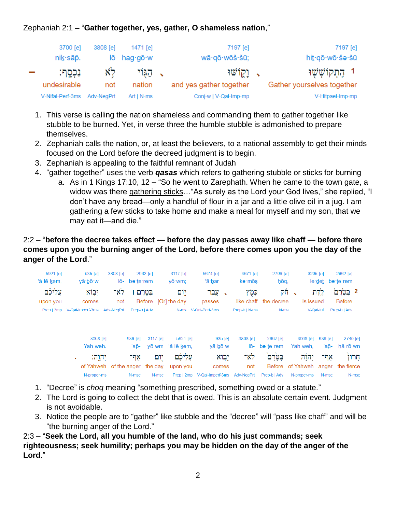## Zephaniah 2:1 – "**Gather together, yes, gather, O shameless nation**,"

| 3700 [e]                                  | 3808 [e]   | 1471 [e]   | 7197 [e]                | 7197 [e]                   |
|-------------------------------------------|------------|------------|-------------------------|----------------------------|
| $nik \cdot \overline{a}$ $\overline{p}$ . | lō         | hag∙gō∙w   | wā·qō·wōš·šū;           | hi <u>t</u> ∙qō∙wō∙šə∙šū   |
| ּנִכְסֶף:                                 | $\aleph$ ל | ַ הַגְּוִי | ג וַקֵוֹשׁוּ            | 1 הֶתְקוֹשָׁשָׁוּ          |
| undesirable                               | not        | nation     | and yes gather together | Gather yourselves together |
| V-Nifal-Perf-3ms                          | Adv-NegPrt | $Art N-ms$ | Conj-w   V-Qal-Imp-mp   | V-Hitpael-Imp-mp           |

- 1. This verse is calling the nation shameless and commanding them to gather together like stubble to be burned. Yet, in verse three the humble stubble is admonished to prepare themselves.
- 2. Zephaniah calls the nation, or, at least the believers, to a national assembly to get their minds focused on the Lord before the decreed judgment is to begin.
- 3. Zephaniah is appealing to the faithful remnant of Judah
- 4. "gather together" uses the verb *qasas* which refers to gathering stubble or sticks for burning
	- a. As in 1 Kings 17:10, 12 "So he went to Zarephath. When he came to the town gate, a widow was there gathering sticks... "As surely as the Lord your God lives," she replied, "I don't have any bread—only a handful of flour in a jar and a little olive oil in a jug. I am gathering a few sticks to take home and make a meal for myself and my son, that we may eat it—and die."

## 2:2 – "**before the decree takes effect — before the day passes away like chaff — before there comes upon you the burning anger of the Lord, before there comes upon you the day of the anger of the Lord**."

| 5921 [e]<br>'ă·lê·kem, | 935 [e]<br>$y\bar{a}\cdot b\bar{b}\cdot w$ | 3808 [e]<br>lō-                | 2962 [e]<br>be te rem |          | 3117 [e]<br>$V\bar{O}$ $Wm$ ; | 5674 [e]<br>'ā·bar          | 4671 [e]<br>kə·mōs | 2706 [e]<br>hōq,             |                                   | 3205 [e]<br>le∙det | 2962 [e]<br>be∙te∙rem        |
|------------------------|--------------------------------------------|--------------------------------|-----------------------|----------|-------------------------------|-----------------------------|--------------------|------------------------------|-----------------------------------|--------------------|------------------------------|
| עֲלֵיכָם<br>upon you   | יבוא<br>comes                              | לא־<br>not                     | בטרם ו                |          | יוֹם<br>Before [Or] the day   | עֶבַר<br>passes             | כְּמָ֫ץ            | וזק<br>like chaff the decree | is issued                         | לֱדֶת              | 2 בִּטֶׂרֵם<br><b>Before</b> |
|                        | Prep   2mp V-Qal-Imperf-3ms                | Adv-NegPrt                     | Prep-b   Adv          |          |                               | N-ms V-Qal-Perf-3ms         | Prep-k   N-ms      | N-ms                         |                                   | V-Qal-Inf          | Prep-b   Adv                 |
|                        | 3068 [e]<br>Yah weh.                       |                                | 639 [e]<br>'ap-       | 3117 [e] | 5921 [e]<br>yō·wm 'ă·lê·kem,  | 935 [e]<br>yā·bō·w          | 3808 [e]<br>lō-    | 2962 [e]<br>be∙te∙rem        | 3068 [e]<br>Yah weh,              | 639 [e]<br>'ар-    | 2740 [e]<br>hă·rō·wn         |
|                        | יִהוֶה:                                    |                                | אף־                   | יִוֹם    | עֲלֵיכֶם                      | יָבְוֹא                     | לא־                | בּטֶרַם                      | יהוה                              | אף־                | חֲרוֹן                       |
|                        |                                            | of Yahweh of the anger the day |                       |          | upon you                      | comes                       | not                |                              | Before of Yahweh anger the fierce |                    |                              |
|                        | N-proper-ms                                |                                | N-msc                 | N-msc    |                               | Prep   2mp V-Qal-Imperf-3ms | Adv-NegPrt         | Prep-b   Adv                 | N-proper-ms                       | N-msc              | N-msc                        |

- 1. "Decree" is *choq* meaning "something prescribed, something owed or a statute."
- 2. The Lord is going to collect the debt that is owed. This is an absolute certain event. Judgment is not avoidable.
- 3. Notice the people are to "gather" like stubble and the "decree" will "pass like chaff" and will be "the burning anger of the Lord."

2:3 – "**Seek the Lord, all you humble of the land, who do his just commands; seek righteousness; seek humility; perhaps you may be hidden on the day of the anger of the Lord**."